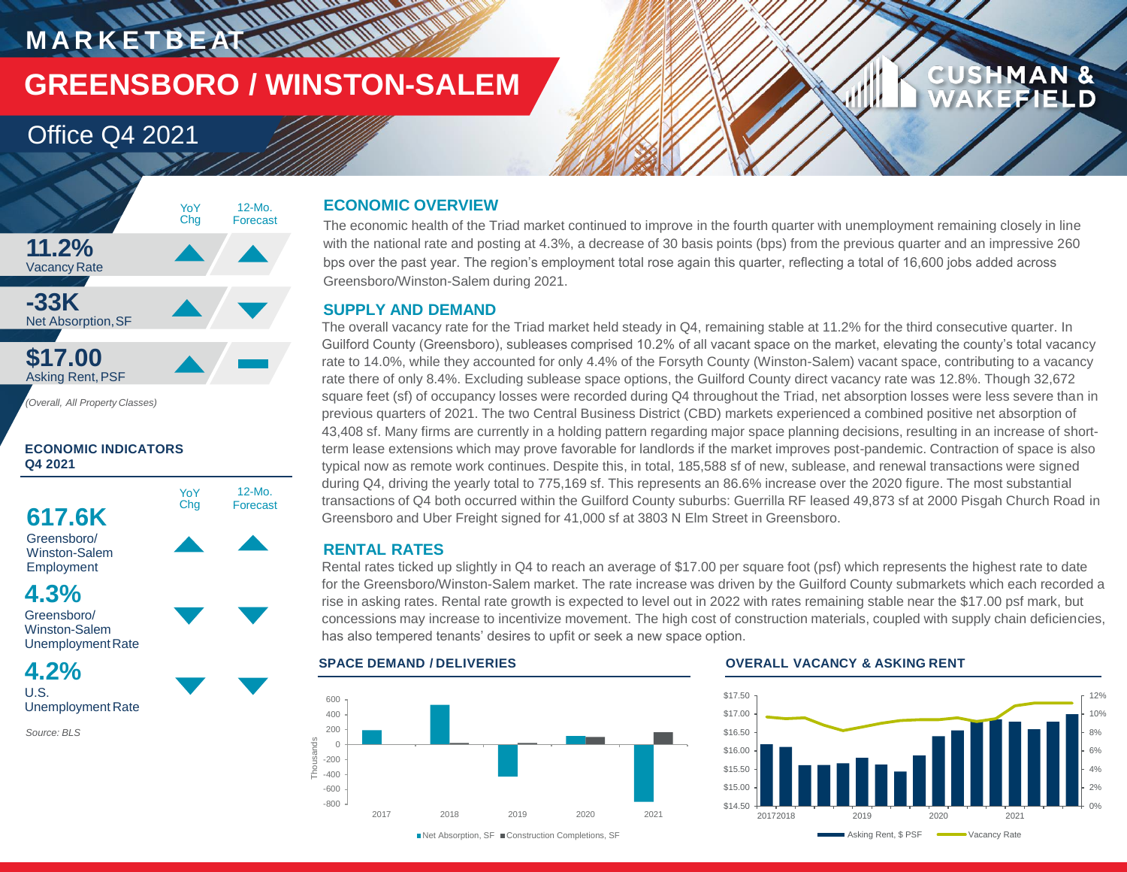## **MARKETBEAT IN WORKING GREENSBORO / WINSTON-SALEM**

### Office Q4 2021



### **ECONOMIC INDICATORS Q4 2021**



**4.2%** U.S.

Unemployment Rate

*Source: BLS*

### **ECONOMIC OVERVIEW**

The economic health of the Triad market continued to improve in the fourth quarter with unemployment remaining closely in line with the national rate and posting at 4.3%, a decrease of 30 basis points (bps) from the previous quarter and an impressive 260 bps over the past year. The region's employment total rose again this quarter, reflecting a total of 16,600 jobs added across Greensboro/Winston-Salem during 2021.

### **SUPPLY AND DEMAND**

The overall vacancy rate for the Triad market held steady in Q4, remaining stable at 11.2% for the third consecutive quarter. In Guilford County (Greensboro), subleases comprised 10.2% of all vacant space on the market, elevating the county's total vacancy rate to 14.0%, while they accounted for only 4.4% of the Forsyth County (Winston-Salem) vacant space, contributing to a vacancy rate there of only 8.4%. Excluding sublease space options, the Guilford County direct vacancy rate was 12.8%. Though 32,672 square feet (sf) of occupancy losses were recorded during Q4 throughout the Triad, net absorption losses were less severe than in previous quarters of 2021. The two Central Business District (CBD) markets experienced a combined positive net absorption of 43,408 sf. Many firms are currently in a holding pattern regarding major space planning decisions, resulting in an increase of shortterm lease extensions which may prove favorable for landlords if the market improves post-pandemic. Contraction of space is also typical now as remote work continues. Despite this, in total, 185,588 sf of new, sublease, and renewal transactions were signed during Q4, driving the yearly total to 775,169 sf. This represents an 86.6% increase over the 2020 figure. The most substantial transactions of Q4 both occurred within the Guilford County suburbs: Guerrilla RF leased 49,873 sf at 2000 Pisgah Church Road in Greensboro and Uber Freight signed for 41,000 sf at 3803 N Elm Street in Greensboro.

### **RENTAL RATES**

Rental rates ticked up slightly in Q4 to reach an average of \$17.00 per square foot (psf) which represents the highest rate to date for the Greensboro/Winston-Salem market. The rate increase was driven by the Guilford County submarkets which each recorded a rise in asking rates. Rental rate growth is expected to level out in 2022 with rates remaining stable near the \$17.00 psf mark, but concessions may increase to incentivize movement. The high cost of construction materials, coupled with supply chain deficiencies, has also tempered tenants' desires to upfit or seek a new space option.

### -800 -600 -400 -200 0 200 400 600 2017 2018 2019 2020 2021 **Thousands** ■Net Absorption, SF ■ Construction Completions, SF

### **SPACE DEMAND / DELIVERIES OVERALL VACANCY & ASKING RENT**



**CUSHMAN &** 

**FFIELD**